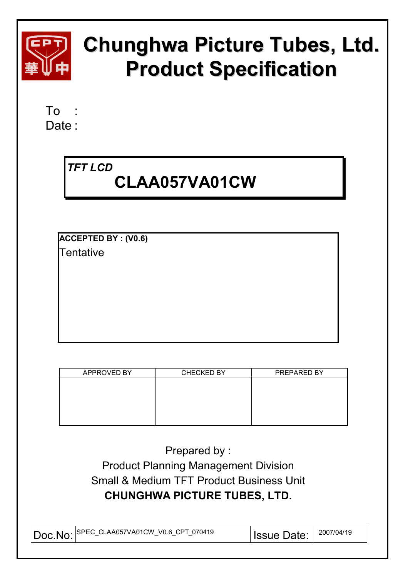

# **Chunghwa Picture Tubes, Ltd. Product Specification**

To : Date:

# *TFT LCD*   **CLAA057VA01CW**

**ACCEPTED BY : (V0.6) Tentative** 

| APPROVED BY | <b>CHECKED BY</b> | PREPARED BY |
|-------------|-------------------|-------------|
|             |                   |             |
|             |                   |             |
|             |                   |             |
|             |                   |             |
|             |                   |             |
|             |                   |             |

Prepared by : Product Planning Management Division Small & Medium TFT Product Business Unit **CHUNGHWA PICTURE TUBES, LTD.** 

| .  SPEC_CLAA057VA01CW V0.6 CPT 070419<br>$\overline{D}$ oc. No:<br>__ | Date: | 2007/04/19 |
|-----------------------------------------------------------------------|-------|------------|
|-----------------------------------------------------------------------|-------|------------|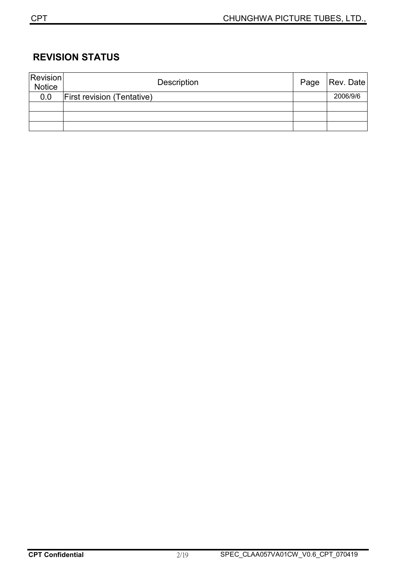### **REVISION STATUS**

| Revision<br><b>Notice</b> | Description                       | Page | Rev. Date |
|---------------------------|-----------------------------------|------|-----------|
| 0.0                       | <b>First revision (Tentative)</b> |      | 2006/9/6  |
|                           |                                   |      |           |
|                           |                                   |      |           |
|                           |                                   |      |           |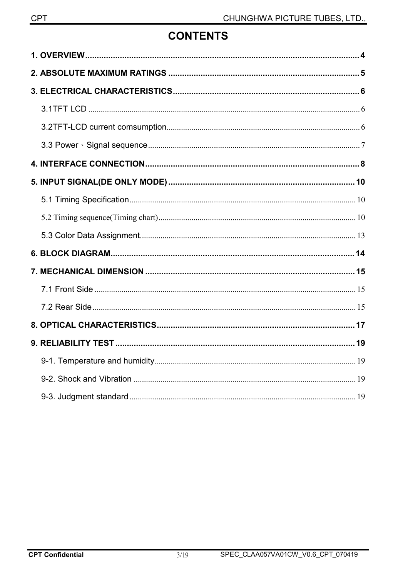# **CONTENTS**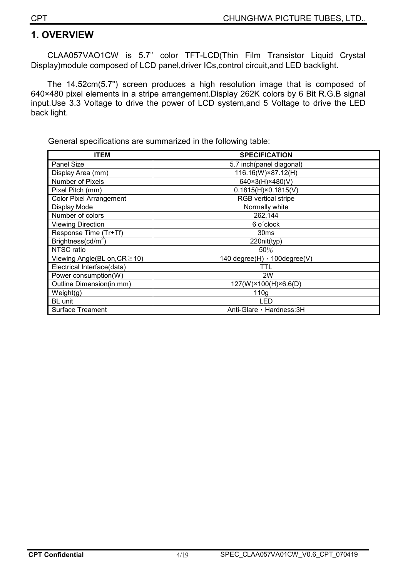#### **1. OVERVIEW**

CLAA057VAO1CW is 5.7ʵ color TFT-LCD(Thin Film Transistor Liquid Crystal Display)module composed of LCD panel,driver ICs,control circuit,and LED backlight.

The 14.52cm(5.7") screen produces a high resolution image that is composed of 640×480 pixel elements in a stripe arrangement.Display 262K colors by 6 Bit R.G.B signal input.Use 3.3 Voltage to drive the power of LCD system,and 5 Voltage to drive the LED back light.

General specifications are summarized in the following table:

| <b>ITEM</b>                        | <b>SPECIFICATION</b>          |
|------------------------------------|-------------------------------|
| Panel Size                         | 5.7 inch(panel diagonal)      |
| Display Area (mm)                  | 116.16(W)×87.12(H)            |
| Number of Pixels                   | 640×3(H)×480(V)               |
| Pixel Pitch (mm)                   | $0.1815(H) \times 0.1815(V)$  |
| <b>Color Pixel Arrangement</b>     | RGB vertical stripe           |
| Display Mode                       | Normally white                |
| Number of colors                   | 262,144                       |
| <b>Viewing Direction</b>           | 6 o'clock                     |
| Response Time (Tr+Tf)              | 30 <sub>ms</sub>              |
| Brightness( $cd/m2$ )              | 220nit(typ)                   |
| NTSC ratio                         | 50%                           |
| Viewing Angle(BL on, $CR \ge 10$ ) | 140 degree(H) , 100 degree(V) |
| Electrical Interface(data)         | TTL                           |
| Power consumption(W)               | 2W                            |
| Outline Dimension(in mm)           | 127(W)×100(H)×6.6(D)          |
| Weight(g)                          | 110 <sub>g</sub>              |
| BL unit                            | LED                           |
| <b>Surface Treament</b>            | Anti-Glare, Hardness: 3H      |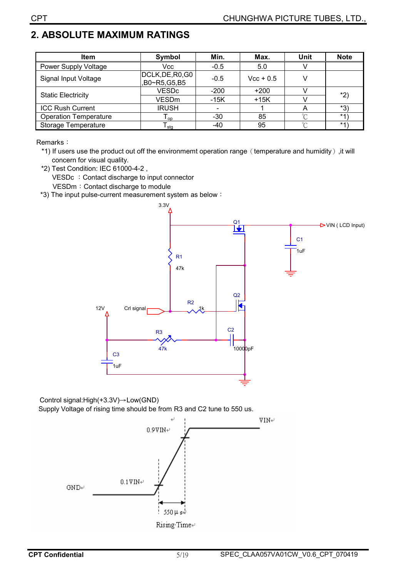# **2. ABSOLUTE MAXIMUM RATINGS**

| <b>Item</b>                  | Symbol                           | Min.   | Max.        | <b>Unit</b> | <b>Note</b> |  |
|------------------------------|----------------------------------|--------|-------------|-------------|-------------|--|
| Power Supply Voltage         | Vcc                              | $-0.5$ | 5.0         |             |             |  |
| Signal Input Voltage         | DCLK, DE, R0, G0<br>B0~R5,G5,B5, | $-0.5$ | $Vec + 0.5$ |             |             |  |
|                              | <b>VESDc</b>                     | $-200$ | $+200$      |             | $*2)$       |  |
| <b>Static Electricity</b>    | <b>VESDm</b>                     | $-15K$ | $+15K$      |             |             |  |
| <b>ICC Rush Current</b>      | <b>IRUSH</b>                     |        |             |             | *3)         |  |
| <b>Operation Temperature</b> | $\mathsf{I}_{\mathsf{op}}$       | $-30$  | 85          | $\sim$      | $*1$        |  |
| Storage Temperature          | $\mathsf{\Gamma}_{\mathsf{stg}}$ | -40    | 95          | $\sim$      | $*1$        |  |

Remarks:

\*1) If users use the product out off the environmemt operation range (temperature and humidity), it will concern for visual quality.

\*2) Test Condition: IEC 61000-4-2 , VESDc : Contact discharge to input connector VESDm: Contact discharge to module

\*3) The input pulse-current measurement system as below:



Control signal:High(+3.3V)→Low(GND) Supply Voltage of rising time should be from R3 and C2 tune to 550 us.

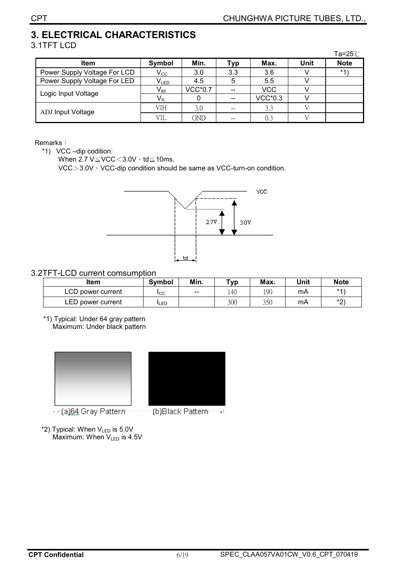# **3. ELECTRICAL CHARACTERISTICS**

| 3.1TFT LCD                   |                 |                |       |                |             |             |
|------------------------------|-----------------|----------------|-------|----------------|-------------|-------------|
|                              |                 |                |       |                |             | Ta=25 $°C$  |
| <b>Item</b>                  | Symbol          | Min.           | Тур   | Max.           | <b>Unit</b> | <b>Note</b> |
| Power Supply Voltage For LCD | $V_{\rm CC}$    | 3.0            | 3.3   | 3.6            |             | $*1$        |
| Power Supply Voltage For LED | $V_{LED}$       | 4.5            | ხ     | 5.5            |             |             |
|                              | V <sub>IH</sub> | <b>VCC*0.7</b> | --    | <b>VCC</b>     |             |             |
| Logic Input Voltage          | $V_{IL}$        |                | $- -$ | <b>VCC*0.3</b> |             |             |
| ADJ Input Voltage            | VIH             | 3.0            |       | 3.3            |             |             |
|                              | VIL             | GND            | $- -$ | 0.3            |             |             |

#### Remarks:

\*1) VCC –dip codition:

When 2.7  $V \leq VCC < 3.0V \cdot td \leq 10ms$ .

VCC $>3.0V$ <sup>,</sup> VCC-dip condition should be same as VCC-turn-on condition.



#### 3.2TFT-LCD current comsumption

| <b>Item</b>       | <b>Symbol</b> | Min.  | T <sub>VP</sub> | Max. | Unit | <b>Note</b> |
|-------------------|---------------|-------|-----------------|------|------|-------------|
| LCD power current | Iсс           | $- -$ | 140             | 190  | mΑ   | $*4$        |
| LED power current | LED           |       | 300             | 350  | mΑ   | $*$<br>▃    |

 \*1) Typical: Under 64 gray pattern Maximum: Under black pattern



·· (a)64 Gray Pattern ······· (b)Black Pattern ··· ₽

 $*2$ ) Typical: When  $V_{LED}$  is 5.0V Maximum: When  $V_{LED}$  is 4.5V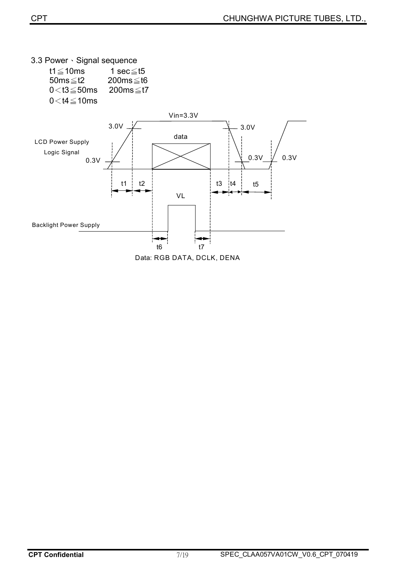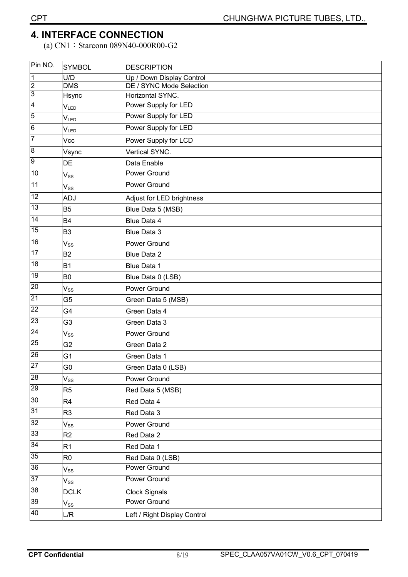(a) CN1: Starconn 089N40-000R00-G2

| Pin NO.         | <b>SYMBOL</b>               | <b>DESCRIPTION</b>           |
|-----------------|-----------------------------|------------------------------|
| $\overline{1}$  | U/D                         | Up / Down Display Control    |
| $\frac{2}{3}$   | $\overline{\text{DNS}}$     | DE / SYNC Mode Selection     |
|                 | Hsync                       | Horizontal SYNC.             |
| $\overline{4}$  | $V_{LED}$                   | Power Supply for LED         |
| $\overline{5}$  | $\mathsf{V}_{\mathsf{LED}}$ | Power Supply for LED         |
| $\,$ 6 $\,$     | $V_{LED}$                   | Power Supply for LED         |
| 7               | Vcc                         | Power Supply for LCD         |
| 8               | Vsync                       | Vertical SYNC.               |
| 9               | DE                          | Data Enable                  |
| 10              | $V_{SS}$                    | Power Ground                 |
| 11              | $V_{SS}$                    | Power Ground                 |
| 12              | ADJ                         | Adjust for LED brightness    |
| 13              | <b>B5</b>                   | Blue Data 5 (MSB)            |
| 14              | <b>B4</b>                   | Blue Data 4                  |
| 15              | B <sub>3</sub>              | Blue Data 3                  |
| 16              | $V_{SS}$                    | Power Ground                 |
| 17              | B <sub>2</sub>              | <b>Blue Data 2</b>           |
| 18              | <b>B1</b>                   | Blue Data 1                  |
| 19              | B <sub>0</sub>              | Blue Data 0 (LSB)            |
| $\overline{20}$ | $V_{SS}$                    | Power Ground                 |
| 21              | G <sub>5</sub>              | Green Data 5 (MSB)           |
| 22              | G4                          | Green Data 4                 |
| 23              | G3                          | Green Data 3                 |
| 24              | $\mathsf{V}_{\mathsf{SS}}$  | Power Ground                 |
| 25              | G <sub>2</sub>              | Green Data 2                 |
| 26              | G1                          | Green Data 1                 |
| 27              | G0                          | Green Data 0 (LSB)           |
| 28              | $\mathsf{V}_{\mathsf{SS}}$  | Power Ground                 |
| 29              | R <sub>5</sub>              | Red Data 5 (MSB)             |
| 30              | R <sub>4</sub>              | Red Data 4                   |
| 31              | R <sub>3</sub>              | Red Data 3                   |
| 32              | $\mathsf{V}_{\mathsf{SS}}$  | Power Ground                 |
| 33              | R2                          | Red Data 2                   |
| 34              | R <sub>1</sub>              | Red Data 1                   |
| 35              | R <sub>0</sub>              | Red Data 0 (LSB)             |
| 36              | $\mathsf{V}_{\mathsf{SS}}$  | Power Ground                 |
| 37              | $\mathsf{V}_{\mathsf{SS}}$  | <b>Power Ground</b>          |
| 38              | <b>DCLK</b>                 | <b>Clock Signals</b>         |
| 39              | $V_{SS}$                    | <b>Power Ground</b>          |
| 40              | L/R                         | Left / Right Display Control |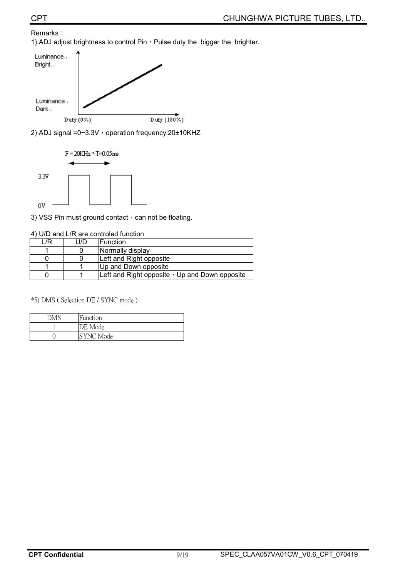#### Remarks: 1).ADJ adjust brightness to control Pin, Pulse duty the bigger the brighter.



2) ADJ signal =0~3.3V  $\cdot$  operation frequency:20±10KHZ



3) VSS Pin must ground contact, can not be floating.

|      | 4) U/D and L/R are controled function |
|------|---------------------------------------|
| 1 /R | U/D   Function                        |

| /R | U/D | <b>IFunction</b>                                     |
|----|-----|------------------------------------------------------|
|    |     | Normally display                                     |
|    |     | Left and Right opposite                              |
|    |     | Up and Down opposite                                 |
|    |     | Left and Right opposite $\cdot$ Up and Down opposite |

 $*$ 5) DMS (Selection DE / SYNC mode)

| DMS | Function  |
|-----|-----------|
|     | DE Mode   |
|     | SYNC Mode |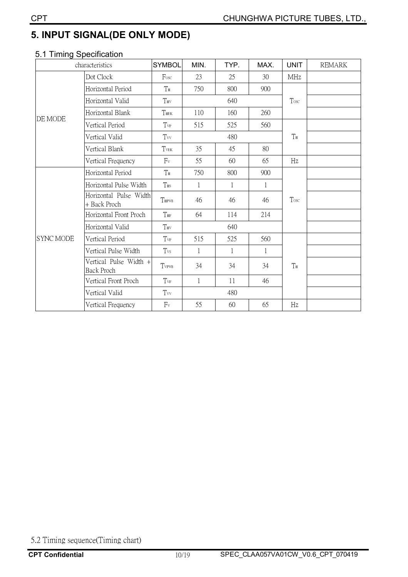# **5. INPUT SIGNAL(DE ONLY MODE)**

# **5.1 Timing Specification**

| characteristics  |                                             | <b>SYMBOL</b>  | MIN.         | TYP.         | MAX.        | <b>UNIT</b> | <b>REMARK</b> |
|------------------|---------------------------------------------|----------------|--------------|--------------|-------------|-------------|---------------|
|                  | Dot Clock                                   | Fosc           | 23           | 25           | 30          | <b>MHz</b>  |               |
| <b>DE MODE</b>   | Horizontal Period                           | $T_{\rm H}$    | 750          | 800          | 900         |             |               |
|                  | Horizontal Valid                            | THV            |              | 640          |             | Tosc        |               |
|                  | Horizontal Blank                            | THBK           | 110          | 160          | 260         |             |               |
|                  | Vertical Period                             | Tvp            | 515          | 525          | 560         |             |               |
|                  | Vertical Valid                              | Tvv            |              | 480          | $T_{\rm H}$ |             |               |
|                  | Vertical Blank                              | TVBK           | 35           | 45           | 80          |             |               |
|                  | Vertical Frequency                          | $F_v$          | 55           | 60           | 65          | Hz          |               |
| <b>SYNC MODE</b> | Horizontal Period                           | T <sub>H</sub> | 750          | 800          | 900         |             |               |
|                  | Horizontal Pulse Width                      | $T_{\rm HS}$   | 1            | 1            | 1           |             |               |
|                  | Horizontal Pulse Width<br>+ Back Proch      | THPWB          | 46           | 46           | 46          | Tosc        |               |
|                  | Horizontal Front Proch                      | THF            | 64           | 114          | 214         |             |               |
|                  | Horizontal Valid                            | $T_{\rm HV}$   |              | 640          |             |             |               |
|                  | Vertical Period                             | $T_{VP}$       | 515          | 525          | 560         |             |               |
|                  | Vertical Pulse Width                        | Tvs            | $\mathbf{1}$ | $\mathbf{1}$ | 1           |             |               |
|                  | Vertical Pulse Width +<br><b>Back Proch</b> | TVPWB          | 34           | 34           | 34          | TH          |               |
|                  | Vertical Front Proch                        | $T_{VF}$       | $\mathbf{1}$ | 11           | 46          |             |               |
|                  | Vertical Valid                              | 480<br>Tvv     |              |              |             |             |               |
|                  | Vertical Frequency                          | $F_v$          | 55           | 60           | 65          | Hz          |               |

5.2 Timing sequence(Timing chart)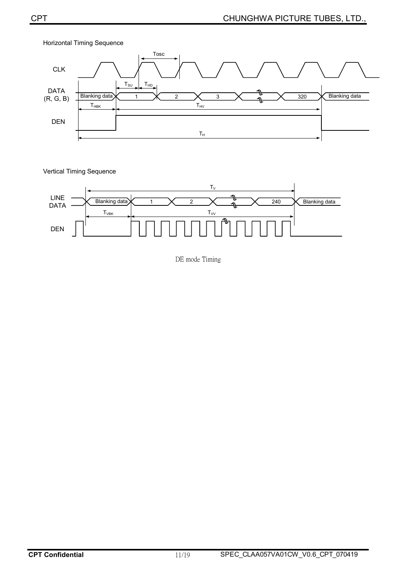

Vertical Timing Sequence



DE mode Timing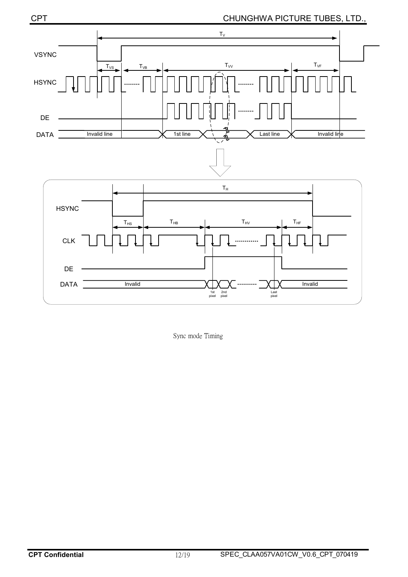#### CPT CHUNGHWA PICTURE TUBES, LTD.,



Sync mode Timing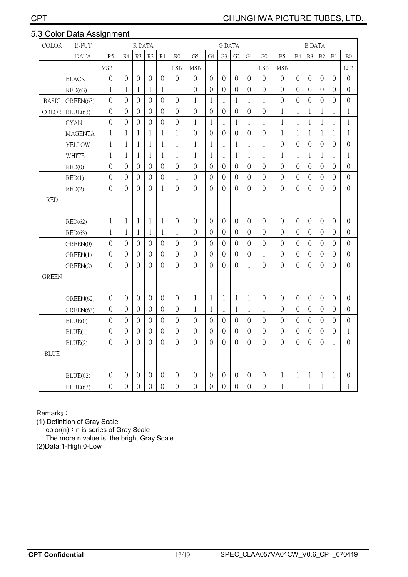#### 5.3 Color Data Assignment

| <b>COLOR</b> | <b>INPUT</b>   | R DATA         |                |                | <b>G DATA</b>  |                |                |                |                | <b>B DATA</b>  |                |                |                |                |                |                  |                |                |                |
|--------------|----------------|----------------|----------------|----------------|----------------|----------------|----------------|----------------|----------------|----------------|----------------|----------------|----------------|----------------|----------------|------------------|----------------|----------------|----------------|
|              | <b>DATA</b>    | R5             | R4             | R3             | R <sub>2</sub> | R1             | R <sub>0</sub> | G <sub>5</sub> | G4             | G <sub>3</sub> | G <sub>2</sub> | G1             | G <sub>0</sub> | B <sub>5</sub> | B <sub>4</sub> | B <sub>3</sub>   | B2             | B1             | B <sub>0</sub> |
|              |                | MSB            |                |                |                |                | LSB            | <b>MSB</b>     |                |                |                |                | <b>LSB</b>     | <b>MSB</b>     |                |                  |                |                | LSB            |
|              | <b>BLACK</b>   | $\overline{0}$ | $\overline{0}$ | $\overline{0}$ | $\overline{0}$ | $\overline{0}$ | $\overline{0}$ | $\overline{0}$ | $\Omega$       | $\theta$       | $\overline{0}$ | $\overline{0}$ | $\theta$       | $\theta$       | $\theta$       | $\theta$         | $\theta$       | $\overline{0}$ | $\theta$       |
|              | RED(63)        | 1              | 1              | $\mathbf{1}$   | $\mathbf{1}$   | 1              | $\mathbf{1}$   | $\overline{0}$ | $\overline{0}$ | $\overline{0}$ | $\overline{0}$ | $\overline{0}$ | $\overline{0}$ | $\overline{0}$ | $\overline{0}$ | $\overline{0}$   | $\overline{0}$ | $\overline{0}$ | $\mathbf{0}$   |
| <b>BASIC</b> | GREEN(63)      | $\overline{0}$ | $\overline{0}$ | $\overline{0}$ | $\overline{0}$ | $\overline{0}$ | $\overline{0}$ | $\mathbf{1}$   | 1              | 1              | 1              | 1              | $\mathbf{1}$   | $\theta$       | $\overline{0}$ | $\overline{0}$   | $\overline{0}$ | $\overline{0}$ | $\overline{0}$ |
| <b>COLOR</b> | BLUE(63)       | $\overline{0}$ | $\overline{0}$ | $\overline{0}$ | $\overline{0}$ | $\overline{0}$ | $\overline{0}$ | $\overline{0}$ | $\overline{0}$ | $\overline{0}$ | $\theta$       | $\theta$       | $\overline{0}$ | 1              | $\mathbf{1}$   | 1                | 1              | $\mathbf{1}$   | 1              |
|              | <b>CYAN</b>    | $\overline{0}$ | $\theta$       | $\overline{0}$ | $\overline{0}$ | $\overline{0}$ | $\overline{0}$ | $\mathbf{1}$   | $\mathbf{1}$   | $\mathbf{1}$   | $\mathbf{1}$   | 1              | $\mathbf{1}$   | 1              | $\mathbf{1}$   | $\mathbf{1}$     | $\mathbf{1}$   | $\mathbf{1}$   | 1              |
|              | <b>MAGENTA</b> | 1              | 1              | 1              | $\mathbf{1}$   | 1              | $\mathbf{1}$   | $\overline{0}$ | $\overline{0}$ | $\overline{0}$ | $\overline{0}$ | $\theta$       | $\overline{0}$ | 1              | 1              | 1                | 1              | 1              | 1              |
|              | <b>YELLOW</b>  | 1              | 1              | 1              | $\mathbf{1}$   | 1              | $\mathbf{1}$   | $\mathbf{1}$   | 1              | 1              | $\mathbf 1$    | 1              | 1              | $\theta$       | $\overline{0}$ | $\overline{0}$   | $\overline{0}$ | $\overline{0}$ | $\overline{0}$ |
|              | WHITE          | $\mathbf{1}$   | $\mathbf{1}$   | $\mathbf{1}$   | $\mathbf{1}$   | $\mathbf{1}$   | $\mathbf{1}$   | $\mathbf{1}$   | $\mathbf{1}$   | $\mathbf{1}$   | $\mathbf{1}$   | $\mathbf{1}$   | $\mathbf{1}$   | $\mathbf{1}$   | $\mathbf{1}$   | $\mathbf{1}$     | $\mathbf{1}$   | $\mathbf{1}$   | $\mathbf{1}$   |
|              | RED(0)         | $\overline{0}$ | $\overline{0}$ | $\overline{0}$ | $\overline{0}$ | $\overline{0}$ | $\overline{0}$ | $\overline{0}$ | $\overline{0}$ | $\overline{0}$ | $\overline{0}$ | $\theta$       | $\overline{0}$ | $\overline{0}$ | $\overline{0}$ | $\overline{0}$   | $\overline{0}$ | $\overline{0}$ | $\overline{0}$ |
|              | RED(1)         | $\overline{0}$ | $\overline{0}$ | $\theta$       | $\overline{0}$ | $\mathbf{0}$   | $\mathbf{1}$   | $\overline{0}$ | $\overline{0}$ | $\theta$       | $\theta$       | $\overline{0}$ | $\overline{0}$ | $\overline{0}$ | $\overline{0}$ | $\overline{0}$   | $\overline{0}$ | $\overline{0}$ | $\overline{0}$ |
|              | RED(2)         | $\overline{0}$ | $\overline{0}$ | $\overline{0}$ | $\overline{0}$ | $\mathbf{1}$   | $\overline{0}$ | $\overline{0}$ | $\overline{0}$ | $\theta$       | $\overline{0}$ | $\theta$       | $\overline{0}$ | $\overline{0}$ | $\overline{0}$ | $\overline{0}$   | $\overline{0}$ | $\overline{0}$ | $\overline{0}$ |
| <b>RED</b>   |                |                |                |                |                |                |                |                |                |                |                |                |                |                |                |                  |                |                |                |
|              |                |                |                |                |                |                |                |                |                |                |                |                |                |                |                |                  |                |                |                |
|              | RED(62)        | $\mathbf{1}$   | $\mathbf{1}$   | $\mathbf{1}$   | $\mathbf{1}$   | $\mathbf{1}$   | $\overline{0}$ | $\overline{0}$ | $\overline{0}$ | $\overline{0}$ | $\overline{0}$ | $\theta$       | $\overline{0}$ | $\mathbf{0}$   | $\overline{0}$ | $\overline{0}$   | $\overline{0}$ | $\theta$       | $\overline{0}$ |
|              | RED(63)        | 1              | 1              | 1              | 1              | 1              | $\mathbf{1}$   | $\overline{0}$ | $\Omega$       | $\overline{0}$ | $\overline{0}$ | $\Omega$       | $\overline{0}$ | $\overline{0}$ | $\overline{0}$ | $\left( \right)$ | $\overline{0}$ | $\Omega$       | $\overline{0}$ |
|              | GREEN(0)       | $\overline{0}$ | $\overline{0}$ | $\theta$       | $\overline{0}$ | $\theta$       | $\overline{0}$ | $\overline{0}$ | $\overline{0}$ | $\Omega$       | $\overline{0}$ | $\Omega$       | $\mathbf{0}$   | $\Omega$       | $\overline{0}$ | $\overline{0}$   | $\Omega$       | $\overline{0}$ | $\overline{0}$ |
|              | GREEN(1)       | $\overline{0}$ | $\overline{0}$ | $\overline{0}$ | $\overline{0}$ | $\overline{0}$ | $\overline{0}$ | $\overline{0}$ | $\overline{0}$ | $\overline{0}$ | $\overline{0}$ | $\overline{0}$ | $\mathbf{1}$   | $\overline{0}$ | $\overline{0}$ | $\overline{0}$   | $\overline{0}$ | $\overline{0}$ | $\overline{0}$ |
|              | GREEN(2)       | $\overline{0}$ | $\overline{0}$ | $\overline{0}$ | $\overline{0}$ | $\theta$       | $\overline{0}$ | $\overline{0}$ | $\overline{0}$ | $\overline{0}$ | $\overline{0}$ | 1              | $\overline{0}$ | $\overline{0}$ | $\overline{0}$ | $\overline{0}$   | $\overline{0}$ | $\overline{0}$ | $\overline{0}$ |
| <b>GREEN</b> |                |                |                |                |                |                |                |                |                |                |                |                |                |                |                |                  |                |                |                |
|              |                |                |                |                |                |                |                |                |                |                |                |                |                |                |                |                  |                |                |                |
|              | GREEN(62)      | $\overline{0}$ | $\overline{0}$ | $\overline{0}$ | $\overline{0}$ | $\overline{0}$ | $\overline{0}$ | $\mathbf{1}$   | $\mathbf{1}$   | 1              | $\mathbf{1}$   | 1              | $\overline{0}$ | $\overline{0}$ | $\overline{0}$ | $\overline{0}$   | $\overline{0}$ | $\overline{0}$ | $\overline{0}$ |
|              | GREEN(63)      | $\overline{0}$ | $\theta$       | $\overline{0}$ | $\overline{0}$ | $\overline{0}$ | $\theta$       | $\mathbf{1}$   | $\mathbf{1}$   | 1              | $\mathbf 1$    | 1              | $\mathbf{1}$   | $\overline{0}$ | $\theta$       | $\overline{0}$   | $\overline{0}$ | $\overline{0}$ | $\theta$       |
|              | BLUE(0)        | $\overline{0}$ | $\overline{0}$ | $\theta$       | $\overline{0}$ | $\overline{0}$ | $\overline{0}$ | $\overline{0}$ | $\theta$       | $\Omega$       | $\overline{0}$ | $\theta$       | $\theta$       | $\Omega$       | $\left($       | $\overline{0}$   | $\overline{0}$ | $\overline{0}$ | $\overline{0}$ |
|              | BLUE(1)        | $\overline{0}$ | $\theta$       | $\overline{0}$ | $\overline{0}$ | $\overline{0}$ | $\overline{0}$ | $\overline{0}$ | $\theta$       | $\theta$       | $\overline{0}$ | $\overline{0}$ | $\overline{0}$ | $\overline{0}$ | $\overline{0}$ | $\theta$         | $\overline{0}$ | $\overline{0}$ | 1              |
|              | BLUE(2)        | $\overline{0}$ | $\overline{0}$ | $\overline{0}$ | $\overline{0}$ | $\overline{0}$ | $\overline{0}$ | $\overline{0}$ | $\overline{0}$ | $\overline{0}$ | $\overline{0}$ | $\Omega$       | $\overline{0}$ | $\overline{0}$ | $\overline{0}$ | $\overline{0}$   | $\overline{0}$ | $\mathbf{1}$   | $\overline{0}$ |
| <b>BLUE</b>  |                |                |                |                |                |                |                |                |                |                |                |                |                |                |                |                  |                |                |                |
|              |                |                |                |                |                |                |                |                |                |                |                |                |                |                |                |                  |                |                |                |
|              | BLUE(62)       | $\overline{0}$ | $\theta$       | $\theta$       | $\overline{0}$ | $\overline{0}$ | $\theta$       | $\theta$       | $\mathbf{0}$   | $\overline{0}$ | $\overline{0}$ | $\theta$       | $\overline{0}$ | 1              | $\mathbf{1}$   | $\mathbf{1}$     | 1              | $\mathbf{1}$   | $\theta$       |
|              | BLUE(63)       | $\overline{0}$ | $\overline{0}$ | $\overline{0}$ | $\overline{0}$ | $\overline{0}$ | $\overline{0}$ | $\overline{0}$ | $\overline{0}$ | $\overline{0}$ | $\overline{0}$ | $\overline{0}$ | $\overline{0}$ | $\mathbf{1}$   | $\mathbf{1}$   | $\mathbf{1}$     | $\mathbf{1}$   | $\mathbf{1}$   | $\mathbf{1}$   |

Remark<sub>s</sub>:

(1) Definition of Gray Scale

color(n): n is series of Gray Scale

The more n value is, the bright Gray Scale.

(2)Data:1-High,0-Low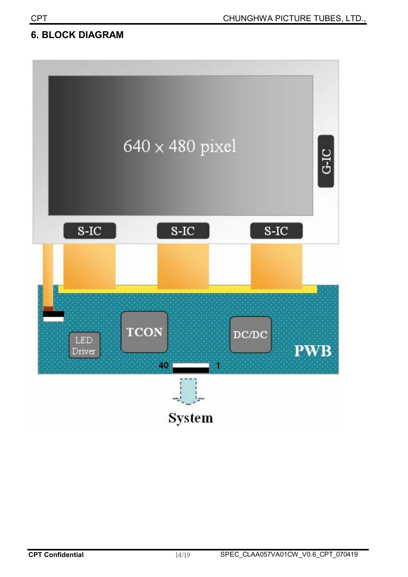#### **6. BLOCK DIAGRAM**

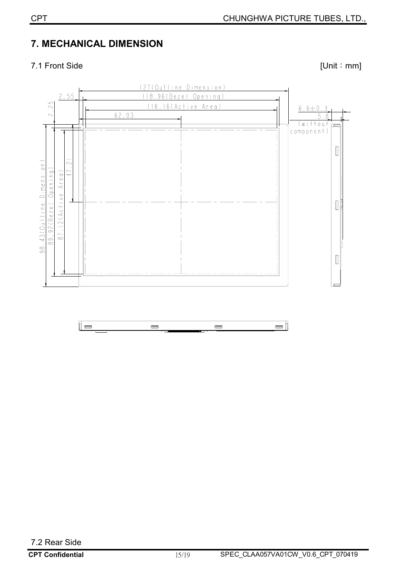## **7. MECHANICAL DIMENSION**

#### 7.1 Front Side [Unit : mm]

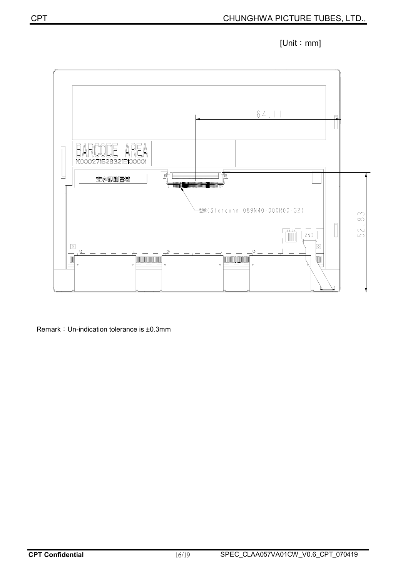



Remark: Un-indication tolerance is ±0.3mm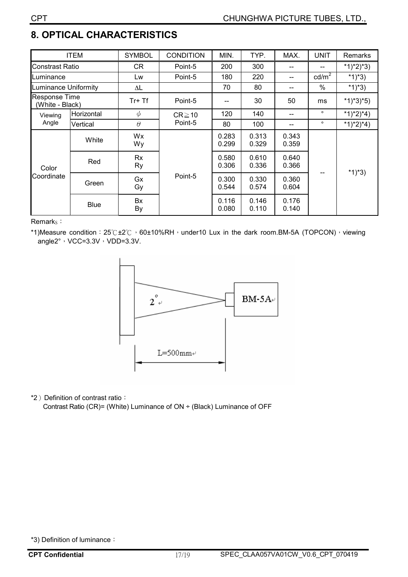# **8. OPTICAL CHARACTERISTICS**

| <b>ITEM</b>                                |             | <b>SYMBOL</b>       | <b>CONDITION</b> | MIN.           | TYP.           | MAX.           | <b>UNIT</b>     | Remarks     |  |
|--------------------------------------------|-------------|---------------------|------------------|----------------|----------------|----------------|-----------------|-------------|--|
| Constrast Ratio                            |             | CR.                 | Point-5          | 200            | 300            |                |                 | $*1)*2)*3)$ |  |
| Luminance                                  |             | Lw                  | Point-5          | 180            | 220            | --             | $\text{cd/m}^2$ | *1)*3)      |  |
| Luminance Uniformity                       |             | $\Delta \mathsf{L}$ |                  | 70             | 80             | --             | $\frac{0}{0}$   | *1)*3)      |  |
| <b>Response Time</b><br>(White - Black)    |             | $Tr+Tf$             | Point-5          | --             | 30             | 50             | ms              | $*1)*3*5)$  |  |
| Horizontal<br>Viewing<br>Angle<br>Vertical |             | $\phi$              | $CR \ge 10$      | 120            | 140            |                | $\circ$         | $*1)*2)*4)$ |  |
|                                            |             | $\theta$            | Point-5          | 80             | 100            |                | $\circ$         | $*1)*2)*4)$ |  |
|                                            | White       | Wx<br>Wy            |                  | 0.283<br>0.299 | 0.313<br>0.329 | 0.343<br>0.359 |                 | $*1)*3)$    |  |
| Color<br>Coordinate                        | Red         | Rx<br>Ry            |                  | 0.580<br>0.306 | 0.610<br>0.336 | 0.640<br>0.366 |                 |             |  |
|                                            | Green       | Gx<br>Gy            | Point-5          | 0.300<br>0.544 | 0.330<br>0.574 | 0.360<br>0.604 |                 |             |  |
|                                            | <b>Blue</b> | Bx<br>By            |                  | 0.116<br>0.080 | 0.146<br>0.110 | 0.176<br>0.140 |                 |             |  |

Remark<sub>s</sub>:

\*1)Measure condition:  $25^\circ C \pm 2^\circ C$ , 60±10%RH, under10 Lux in the dark room.BM-5A (TOPCON), viewing angle $2^\circ \cdot \text{VCC}=3.3\text{V} \cdot \text{VDD}=3.3\text{V}$ .



\*2) Definition of contrast ratio:

Contrast Ratio (CR)= (White) Luminance of ON ÷ (Black) Luminance of OFF

<sup>\*3)</sup> Definition of luminance: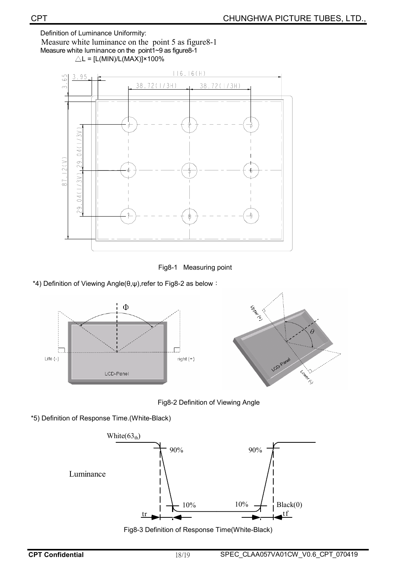Definition of Luminance Uniformity:

Measure white luminance on the point 5 as figure 8-1

Measure white luminance on the point1~9 as figure8-1  $\triangle$ L = [L(MIN)/L(MAX)]×100%



Fig8-1 Measuring point

\*4) Definition of Viewing Angle( $\theta, \psi$ ), refer to Fig8-2 as below :



Fig8-2 Definition of Viewing Angle

\*5) Definition of Response Time.(White-Black)



Fig8-3 Definition of Response Time(White-Black)